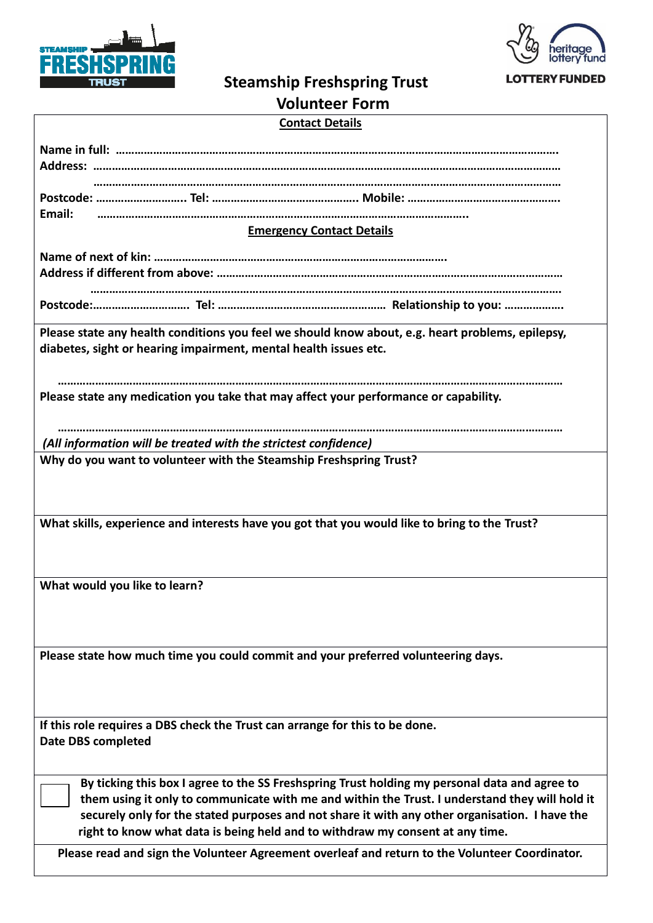



## **Steamship Freshspring Trust**

| <b>Volunteer Form</b> |  |
|-----------------------|--|
|-----------------------|--|

| <b>Contact Details</b> |  |  |
|------------------------|--|--|
|                        |  |  |

| Email:                                                                                                                                                                                          |  |  |  |  |
|-------------------------------------------------------------------------------------------------------------------------------------------------------------------------------------------------|--|--|--|--|
| <b>Emergency Contact Details</b>                                                                                                                                                                |  |  |  |  |
|                                                                                                                                                                                                 |  |  |  |  |
|                                                                                                                                                                                                 |  |  |  |  |
|                                                                                                                                                                                                 |  |  |  |  |
|                                                                                                                                                                                                 |  |  |  |  |
|                                                                                                                                                                                                 |  |  |  |  |
| Please state any health conditions you feel we should know about, e.g. heart problems, epilepsy,<br>diabetes, sight or hearing impairment, mental health issues etc.                            |  |  |  |  |
| Please state any medication you take that may affect your performance or capability.                                                                                                            |  |  |  |  |
|                                                                                                                                                                                                 |  |  |  |  |
| (All information will be treated with the strictest confidence)<br>Why do you want to volunteer with the Steamship Freshspring Trust?                                                           |  |  |  |  |
|                                                                                                                                                                                                 |  |  |  |  |
| What skills, experience and interests have you got that you would like to bring to the Trust?                                                                                                   |  |  |  |  |
| What would you like to learn?                                                                                                                                                                   |  |  |  |  |
|                                                                                                                                                                                                 |  |  |  |  |
| Please state how much time you could commit and your preferred volunteering days.                                                                                                               |  |  |  |  |
| If this role requires a DBS check the Trust can arrange for this to be done.                                                                                                                    |  |  |  |  |
| <b>Date DBS completed</b>                                                                                                                                                                       |  |  |  |  |
| By ticking this box I agree to the SS Freshspring Trust holding my personal data and agree to<br>them using it only to communicate with me and within the Trust. I understand they will hold it |  |  |  |  |
| securely only for the stated purposes and not share it with any other organisation. I have the<br>right to know what data is being held and to withdraw my consent at any time.                 |  |  |  |  |
| Please read and sign the Volunteer Agreement overleaf and return to the Volunteer Coordinator.                                                                                                  |  |  |  |  |